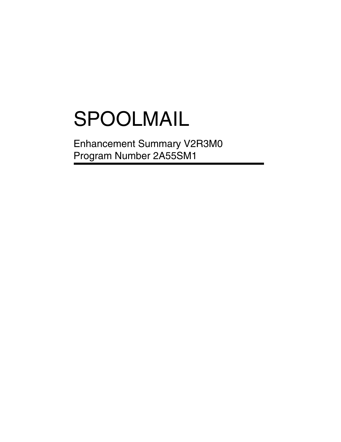# SPOOLMAIL

Enhancement Summary V2R3M0 Program Number 2A55SM1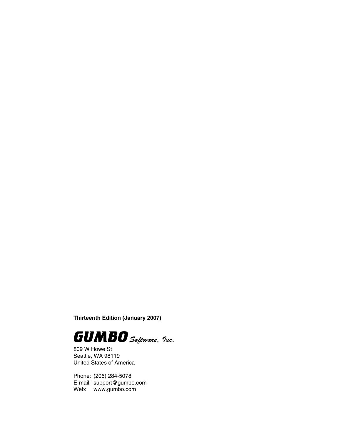**Thirteenth Edition (January 2007)**



809 W Howe St Seattle, WA 98119 United States of America

Phone: (206) 284-5078 E-mail: support@gumbo.com Web: www.gumbo.com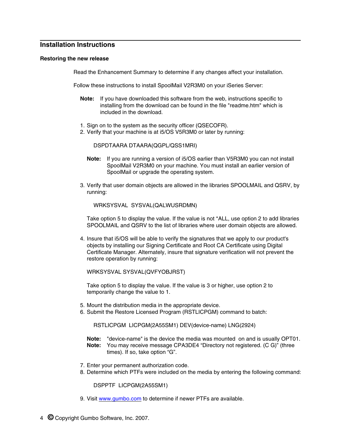# **Installation Instructions**

#### **Restoring the new release**

Read the Enhancement Summary to determine if any changes affect your installation.

Follow these instructions to install SpoolMail V2R3M0 on your iSeries Server:

- **Note:** If you have downloaded this software from the web, instructions specific to installing from the download can be found in the file "readme.htm" which is included in the download.
- 1. Sign on to the system as the security officer (QSECOFR).
- 2. Verify that your machine is at i5/OS V5R3M0 or later by running:

DSPDTAARA DTAARA(QGPL/QSS1MRI)

- **Note:** If you are running a version of i5/OS earlier than V5R3M0 you can not install SpoolMail V2R3M0 on your machine. You must install an earlier version of SpoolMail or upgrade the operating system.
- 3. Verify that user domain objects are allowed in the libraries SPOOLMAIL and QSRV, by running:

WRKSYSVAL SYSVAL(QALWUSRDMN)

Take option 5 to display the value. If the value is not \*ALL, use option 2 to add libraries SPOOLMAIL and QSRV to the list of libraries where user domain objects are allowed.

4. Insure that i5/OS will be able to verify the signatures that we apply to our product's objects by installing our Signing Certificate and Root CA Certificate using Digital Certificate Manager. Alternately, insure that signature verification will not prevent the restore operation by running:

WRKSYSVAL SYSVAL(QVFYOBJRST)

Take option 5 to display the value. If the value is 3 or higher, use option 2 to temporarily change the value to 1.

- 5. Mount the distribution media in the appropriate device.
- 6. Submit the Restore Licensed Program (RSTLICPGM) command to batch:

RSTLICPGM LICPGM(2A55SM1) DEV(device-name) LNG(2924)

- **Note:** "device-name" is the device the media was mounted on and is usually OPT01. **Note:** You may receive message CPA3DE4 "Directory not registered. (C G)" (three times). If so, take option "G".
- 7. Enter your permanent authorization code.
- 8. Determine which PTFs were included on the media by entering the following command:

DSPPTF LICPGM(2A55SM1)

9. Visit www.gumbo.com to determine if newer PTFs are available.

4 **©** Copyright Gumbo Software, Inc. 2007.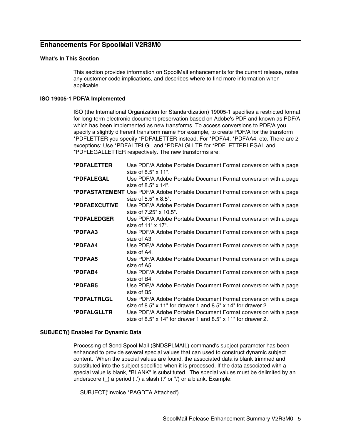# **Enhancements For SpoolMail V2R3M0**

## **What's In This Section**

This section provides information on SpoolMail enhancements for the current release, notes any customer code implications, and describes where to find more information when applicable.

## **ISO 19005-1 PDF/A Implemented**

ISO (the International Organization for Standardization) 19005-1 specifies a restricted format for long-term electronic document preservation based on Adobe's PDF and known as PDF/A which has been implemented as new transforms. To access conversions to PDF/A you specify a slightly different transform name For example, to create PDF/A for the transform \*PDFLETTER you specify \*PDFALETTER instead. For \*PDFA4, \*PDFAA4, etc. There are 2 exceptions: Use \*PDFALTRLGL and \*PDFALGLLTR for \*PDFLETTERLEGAL and \*PDFLEGALLETTER respectively. The new transforms are:

| *PDFALETTER   | Use PDF/A Adobe Portable Document Format conversion with a page                |
|---------------|--------------------------------------------------------------------------------|
|               | size of $8.5" \times 11"$ .                                                    |
| *PDFALEGAL    | Use PDF/A Adobe Portable Document Format conversion with a page                |
|               | size of $8.5" \times 14"$ .                                                    |
|               | *PDFASTATEMENT Use PDF/A Adobe Portable Document Format conversion with a page |
|               | size of $5.5" \times 8.5"$ .                                                   |
| *PDFAEXCUTIVE | Use PDF/A Adobe Portable Document Format conversion with a page                |
|               | size of 7.25" x 10.5".                                                         |
| *PDFALEDGER   | Use PDF/A Adobe Portable Document Format conversion with a page                |
|               | size of 11" x 17".                                                             |
| *PDFAA3       | Use PDF/A Adobe Portable Document Format conversion with a page                |
|               | size of A3.                                                                    |
| *PDFAA4       | Use PDF/A Adobe Portable Document Format conversion with a page                |
|               | size of A4.                                                                    |
| *PDFAA5       | Use PDF/A Adobe Portable Document Format conversion with a page                |
|               | size of A5.                                                                    |
| *PDFAB4       | Use PDF/A Adobe Portable Document Format conversion with a page                |
|               | size of B4.                                                                    |
| *PDFAB5       | Use PDF/A Adobe Portable Document Format conversion with a page                |
|               | size of B5.                                                                    |
| *PDFALTRLGL   | Use PDF/A Adobe Portable Document Format conversion with a page                |
|               | size of 8.5" $\times$ 11" for drawer 1 and 8.5" $\times$ 14" for drawer 2.     |
| *PDFALGLLTR   | Use PDF/A Adobe Portable Document Format conversion with a page                |
|               | size of 8.5" $\times$ 14" for drawer 1 and 8.5" $\times$ 11" for drawer 2.     |
|               |                                                                                |

## **SUBJECT() Enabled For Dynamic Data**

Processing of Send Spool Mail (SNDSPLMAIL) command's subject parameter has been enhanced to provide several special values that can used to construct dynamic subject content. When the special values are found, the associated data is blank trimmed and substituted into the subject specified when it is processed. If the data associated with a special value is blank, "BLANK" is substituted. The special values must be delimited by an underscore (\_) a period ('.') a slash ('/' or '\') or a blank. Example:

SUBJECT('Invoice \*PAGDTA Attached')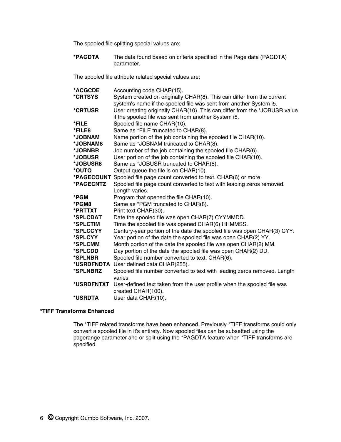The spooled file splitting special values are:

**\*PAGDTA** The data found based on criteria specified in the Page data (PAGDTA) parameter.

The spooled file attribute related special values are:

| *CRTSYS<br>System created on originally CHAR(8). This can differ from the current<br>system's name if the spooled file was sent from another System i5.<br>*CRTUSR<br>if the spooled file was sent from another System i5.<br>Spooled file name CHAR(10).<br>*FILE<br>Same as *FILE truncated to CHAR(8).<br>*FILE8<br>*JOBNAM<br>Name portion of the job containing the spooled file CHAR(10).<br>Same as *JOBNAM truncated to CHAR(8).<br>*JOBNAM8<br>Job number of the job containing the spooled file CHAR(6).<br>*JOBNBR<br>User portion of the job containing the spooled file CHAR(10).<br>*JOBUSR<br>*JOBUSR8<br>Same as *JOBUSR truncated to CHAR(8).<br>*OUTQ<br>Output queue the file is on CHAR(10).<br>Spooled file page count converted to text. CHAR(6) or more.<br>*PAGECOUNT<br>*PAGECNTZ<br>Spooled file page count converted to text with leading zeros removed.<br>Length varies.<br>*PGM<br>Program that opened the file CHAR(10).<br>*PGM8<br>Same as *PGM truncated to CHAR(8).<br>Print text CHAR(30).<br>*PRTTXT<br>Date the spooled file was open CHAR(7) CYYMMDD.<br>*SPLCDAT<br>Time the spooled file was opened CHAR(6) HHMMSS.<br>*SPLCTIM<br>*SPLCCYY<br>*SPLCYY<br>Year portion of the date the spooled file was open CHAR(2) YY.<br>Month portion of the date the spooled file was open CHAR(2) MM.<br>*SPLCMM<br>Day portion of the date the spooled file was open CHAR(2) DD.<br>*SPLCDD<br>*SPLNBR<br>Spooled file number converted to text. CHAR(6).<br>User defined data CHAR(255).<br>*USRDFNDTA<br>*SPLNBRZ<br>varies.<br>User-defined text taken from the user profile when the spooled file was<br>*USRDFNTXT |                |                                                                           |
|---------------------------------------------------------------------------------------------------------------------------------------------------------------------------------------------------------------------------------------------------------------------------------------------------------------------------------------------------------------------------------------------------------------------------------------------------------------------------------------------------------------------------------------------------------------------------------------------------------------------------------------------------------------------------------------------------------------------------------------------------------------------------------------------------------------------------------------------------------------------------------------------------------------------------------------------------------------------------------------------------------------------------------------------------------------------------------------------------------------------------------------------------------------------------------------------------------------------------------------------------------------------------------------------------------------------------------------------------------------------------------------------------------------------------------------------------------------------------------------------------------------------------------------------------------------------------------------------------------------------------------------------------------|----------------|---------------------------------------------------------------------------|
|                                                                                                                                                                                                                                                                                                                                                                                                                                                                                                                                                                                                                                                                                                                                                                                                                                                                                                                                                                                                                                                                                                                                                                                                                                                                                                                                                                                                                                                                                                                                                                                                                                                         | <b>*ACGCDE</b> | Accounting code CHAR(15).                                                 |
|                                                                                                                                                                                                                                                                                                                                                                                                                                                                                                                                                                                                                                                                                                                                                                                                                                                                                                                                                                                                                                                                                                                                                                                                                                                                                                                                                                                                                                                                                                                                                                                                                                                         |                |                                                                           |
|                                                                                                                                                                                                                                                                                                                                                                                                                                                                                                                                                                                                                                                                                                                                                                                                                                                                                                                                                                                                                                                                                                                                                                                                                                                                                                                                                                                                                                                                                                                                                                                                                                                         |                |                                                                           |
|                                                                                                                                                                                                                                                                                                                                                                                                                                                                                                                                                                                                                                                                                                                                                                                                                                                                                                                                                                                                                                                                                                                                                                                                                                                                                                                                                                                                                                                                                                                                                                                                                                                         |                | User creating originally CHAR(10). This can differ from the *JOBUSR value |
|                                                                                                                                                                                                                                                                                                                                                                                                                                                                                                                                                                                                                                                                                                                                                                                                                                                                                                                                                                                                                                                                                                                                                                                                                                                                                                                                                                                                                                                                                                                                                                                                                                                         |                |                                                                           |
|                                                                                                                                                                                                                                                                                                                                                                                                                                                                                                                                                                                                                                                                                                                                                                                                                                                                                                                                                                                                                                                                                                                                                                                                                                                                                                                                                                                                                                                                                                                                                                                                                                                         |                |                                                                           |
|                                                                                                                                                                                                                                                                                                                                                                                                                                                                                                                                                                                                                                                                                                                                                                                                                                                                                                                                                                                                                                                                                                                                                                                                                                                                                                                                                                                                                                                                                                                                                                                                                                                         |                |                                                                           |
|                                                                                                                                                                                                                                                                                                                                                                                                                                                                                                                                                                                                                                                                                                                                                                                                                                                                                                                                                                                                                                                                                                                                                                                                                                                                                                                                                                                                                                                                                                                                                                                                                                                         |                |                                                                           |
|                                                                                                                                                                                                                                                                                                                                                                                                                                                                                                                                                                                                                                                                                                                                                                                                                                                                                                                                                                                                                                                                                                                                                                                                                                                                                                                                                                                                                                                                                                                                                                                                                                                         |                |                                                                           |
|                                                                                                                                                                                                                                                                                                                                                                                                                                                                                                                                                                                                                                                                                                                                                                                                                                                                                                                                                                                                                                                                                                                                                                                                                                                                                                                                                                                                                                                                                                                                                                                                                                                         |                |                                                                           |
|                                                                                                                                                                                                                                                                                                                                                                                                                                                                                                                                                                                                                                                                                                                                                                                                                                                                                                                                                                                                                                                                                                                                                                                                                                                                                                                                                                                                                                                                                                                                                                                                                                                         |                |                                                                           |
|                                                                                                                                                                                                                                                                                                                                                                                                                                                                                                                                                                                                                                                                                                                                                                                                                                                                                                                                                                                                                                                                                                                                                                                                                                                                                                                                                                                                                                                                                                                                                                                                                                                         |                |                                                                           |
|                                                                                                                                                                                                                                                                                                                                                                                                                                                                                                                                                                                                                                                                                                                                                                                                                                                                                                                                                                                                                                                                                                                                                                                                                                                                                                                                                                                                                                                                                                                                                                                                                                                         |                |                                                                           |
|                                                                                                                                                                                                                                                                                                                                                                                                                                                                                                                                                                                                                                                                                                                                                                                                                                                                                                                                                                                                                                                                                                                                                                                                                                                                                                                                                                                                                                                                                                                                                                                                                                                         |                |                                                                           |
|                                                                                                                                                                                                                                                                                                                                                                                                                                                                                                                                                                                                                                                                                                                                                                                                                                                                                                                                                                                                                                                                                                                                                                                                                                                                                                                                                                                                                                                                                                                                                                                                                                                         |                |                                                                           |
|                                                                                                                                                                                                                                                                                                                                                                                                                                                                                                                                                                                                                                                                                                                                                                                                                                                                                                                                                                                                                                                                                                                                                                                                                                                                                                                                                                                                                                                                                                                                                                                                                                                         |                |                                                                           |
|                                                                                                                                                                                                                                                                                                                                                                                                                                                                                                                                                                                                                                                                                                                                                                                                                                                                                                                                                                                                                                                                                                                                                                                                                                                                                                                                                                                                                                                                                                                                                                                                                                                         |                |                                                                           |
|                                                                                                                                                                                                                                                                                                                                                                                                                                                                                                                                                                                                                                                                                                                                                                                                                                                                                                                                                                                                                                                                                                                                                                                                                                                                                                                                                                                                                                                                                                                                                                                                                                                         |                |                                                                           |
|                                                                                                                                                                                                                                                                                                                                                                                                                                                                                                                                                                                                                                                                                                                                                                                                                                                                                                                                                                                                                                                                                                                                                                                                                                                                                                                                                                                                                                                                                                                                                                                                                                                         |                |                                                                           |
|                                                                                                                                                                                                                                                                                                                                                                                                                                                                                                                                                                                                                                                                                                                                                                                                                                                                                                                                                                                                                                                                                                                                                                                                                                                                                                                                                                                                                                                                                                                                                                                                                                                         |                |                                                                           |
|                                                                                                                                                                                                                                                                                                                                                                                                                                                                                                                                                                                                                                                                                                                                                                                                                                                                                                                                                                                                                                                                                                                                                                                                                                                                                                                                                                                                                                                                                                                                                                                                                                                         |                |                                                                           |
|                                                                                                                                                                                                                                                                                                                                                                                                                                                                                                                                                                                                                                                                                                                                                                                                                                                                                                                                                                                                                                                                                                                                                                                                                                                                                                                                                                                                                                                                                                                                                                                                                                                         |                | Century-year portion of the date the spooled file was open CHAR(3) CYY.   |
|                                                                                                                                                                                                                                                                                                                                                                                                                                                                                                                                                                                                                                                                                                                                                                                                                                                                                                                                                                                                                                                                                                                                                                                                                                                                                                                                                                                                                                                                                                                                                                                                                                                         |                |                                                                           |
|                                                                                                                                                                                                                                                                                                                                                                                                                                                                                                                                                                                                                                                                                                                                                                                                                                                                                                                                                                                                                                                                                                                                                                                                                                                                                                                                                                                                                                                                                                                                                                                                                                                         |                |                                                                           |
|                                                                                                                                                                                                                                                                                                                                                                                                                                                                                                                                                                                                                                                                                                                                                                                                                                                                                                                                                                                                                                                                                                                                                                                                                                                                                                                                                                                                                                                                                                                                                                                                                                                         |                |                                                                           |
|                                                                                                                                                                                                                                                                                                                                                                                                                                                                                                                                                                                                                                                                                                                                                                                                                                                                                                                                                                                                                                                                                                                                                                                                                                                                                                                                                                                                                                                                                                                                                                                                                                                         |                |                                                                           |
|                                                                                                                                                                                                                                                                                                                                                                                                                                                                                                                                                                                                                                                                                                                                                                                                                                                                                                                                                                                                                                                                                                                                                                                                                                                                                                                                                                                                                                                                                                                                                                                                                                                         |                |                                                                           |
|                                                                                                                                                                                                                                                                                                                                                                                                                                                                                                                                                                                                                                                                                                                                                                                                                                                                                                                                                                                                                                                                                                                                                                                                                                                                                                                                                                                                                                                                                                                                                                                                                                                         |                | Spooled file number converted to text with leading zeros removed. Length  |
|                                                                                                                                                                                                                                                                                                                                                                                                                                                                                                                                                                                                                                                                                                                                                                                                                                                                                                                                                                                                                                                                                                                                                                                                                                                                                                                                                                                                                                                                                                                                                                                                                                                         |                |                                                                           |
|                                                                                                                                                                                                                                                                                                                                                                                                                                                                                                                                                                                                                                                                                                                                                                                                                                                                                                                                                                                                                                                                                                                                                                                                                                                                                                                                                                                                                                                                                                                                                                                                                                                         |                |                                                                           |
|                                                                                                                                                                                                                                                                                                                                                                                                                                                                                                                                                                                                                                                                                                                                                                                                                                                                                                                                                                                                                                                                                                                                                                                                                                                                                                                                                                                                                                                                                                                                                                                                                                                         |                | created CHAR(100).                                                        |
| *USRDTA<br>User data CHAR(10).                                                                                                                                                                                                                                                                                                                                                                                                                                                                                                                                                                                                                                                                                                                                                                                                                                                                                                                                                                                                                                                                                                                                                                                                                                                                                                                                                                                                                                                                                                                                                                                                                          |                |                                                                           |

#### **\*TIFF Transforms Enhanced**

The \*TIFF related transforms have been enhanced. Previously \*TIFF transforms could only convert a spooled file in it's entirety. Now spooled files can be subsetted using the pagerange parameter and or split using the \*PAGDTA feature when \*TIFF transforms are specified.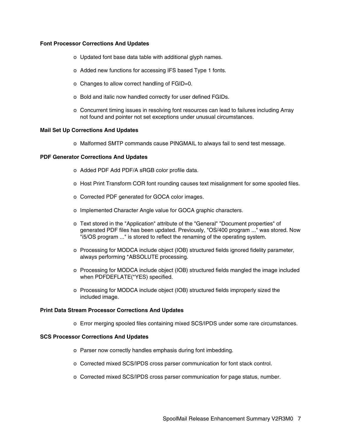#### **Font Processor Corrections And Updates**

- o Updated font base data table with additional glyph names.
- o Added new functions for accessing IFS based Type 1 fonts.
- o Changes to allow correct handling of FGID=0.
- o Bold and italic now handled correctly for user defined FGIDs.
- o Concurrent timing issues in resolving font resources can lead to failures including Array not found and pointer not set exceptions under unusual circumstances.

#### **Mail Set Up Corrections And Updates**

o Malformed SMTP commands cause PINGMAIL to always fail to send test message.

# **PDF Generator Corrections And Updates**

- o Added PDF Add PDF/A sRGB color profile data.
- o Host Print Transform COR font rounding causes text misalignment for some spooled files.
- o Corrected PDF generated for GOCA color images.
- o Implemented Character Angle value for GOCA graphic characters.
- o Text stored in the "Application" attribute of the "General" "Document properties" of generated PDF files has been updated. Previously, "OS/400 program ..." was stored. Now "i5/OS program ..." is stored to reflect the renaming of the operating system.
- o Processing for MODCA include object (IOB) structured fields ignored fidelity parameter, always performing \*ABSOLUTE processing.
- o Processing for MODCA include object (IOB) structured fields mangled the image included when PDFDEFLATE(\*YES) specified.
- o Processing for MODCA include object (IOB) structured fields improperly sized the included image.

## **Print Data Stream Processor Corrections And Updates**

o Error merging spooled files containing mixed SCS/IPDS under some rare circumstances.

#### **SCS Processor Corrections And Updates**

- o Parser now correctly handles emphasis during font imbedding.
- o Corrected mixed SCS/IPDS cross parser communication for font stack control.
- o Corrected mixed SCS/IPDS cross parser communication for page status, number.